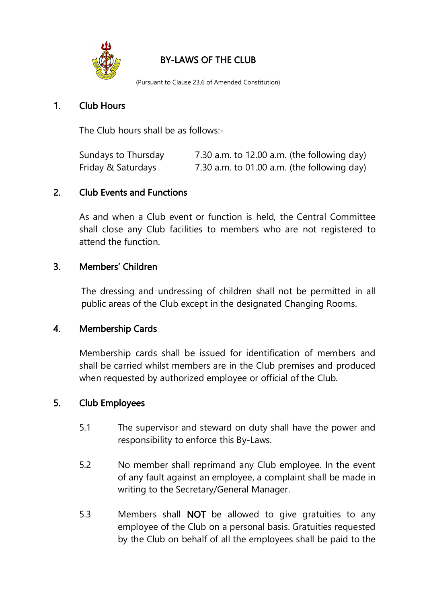

## BY-LAWS OF THE CLUB

(Pursuant to Clause 23.6 of Amended Constitution)

#### 1. Club Hours

The Club hours shall be as follows:-

| Sundays to Thursday | 7.30 a.m. to 12.00 a.m. (the following day) |
|---------------------|---------------------------------------------|
| Friday & Saturdays  | 7.30 a.m. to 01.00 a.m. (the following day) |

#### 2. Club Events and Functions

As and when a Club event or function is held, the Central Committee shall close any Club facilities to members who are not registered to attend the function.

#### 3. Members' Children

The dressing and undressing of children shall not be permitted in all public areas of the Club except in the designated Changing Rooms.

#### 4. Membership Cards

Membership cards shall be issued for identification of members and shall be carried whilst members are in the Club premises and produced when requested by authorized employee or official of the Club.

#### 5. Club Employees

- 5.1 The supervisor and steward on duty shall have the power and responsibility to enforce this By-Laws.
- 5.2 No member shall reprimand any Club employee. In the event of any fault against an employee, a complaint shall be made in writing to the Secretary/General Manager.
- 5.3 Members shall NOT be allowed to give gratuities to any employee of the Club on a personal basis. Gratuities requested by the Club on behalf of all the employees shall be paid to the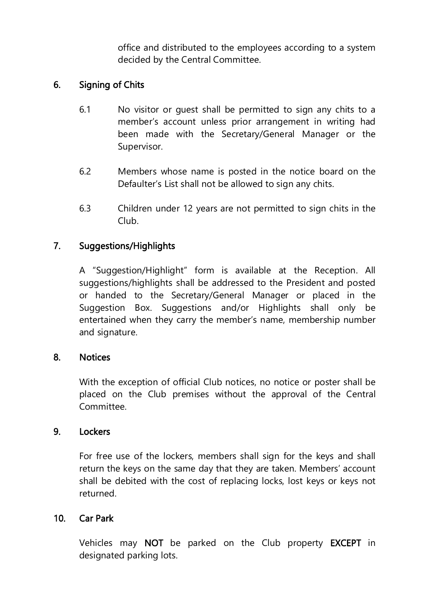office and distributed to the employees according to a system decided by the Central Committee.

## 6. Signing of Chits

- 6.1 No visitor or guest shall be permitted to sign any chits to a member's account unless prior arrangement in writing had been made with the Secretary/General Manager or the Supervisor.
- 6.2 Members whose name is posted in the notice board on the Defaulter's List shall not be allowed to sign any chits.
- 6.3 Children under 12 years are not permitted to sign chits in the Club.

## 7. Suggestions/Highlights

A "Suggestion/Highlight" form is available at the Reception. All suggestions/highlights shall be addressed to the President and posted or handed to the Secretary/General Manager or placed in the Suggestion Box. Suggestions and/or Highlights shall only be entertained when they carry the member's name, membership number and signature.

#### 8. Notices

With the exception of official Club notices, no notice or poster shall be placed on the Club premises without the approval of the Central Committee.

#### 9. Lockers

For free use of the lockers, members shall sign for the keys and shall return the keys on the same day that they are taken. Members' account shall be debited with the cost of replacing locks, lost keys or keys not returned.

#### 10. Car Park

Vehicles may NOT be parked on the Club property EXCEPT in designated parking lots.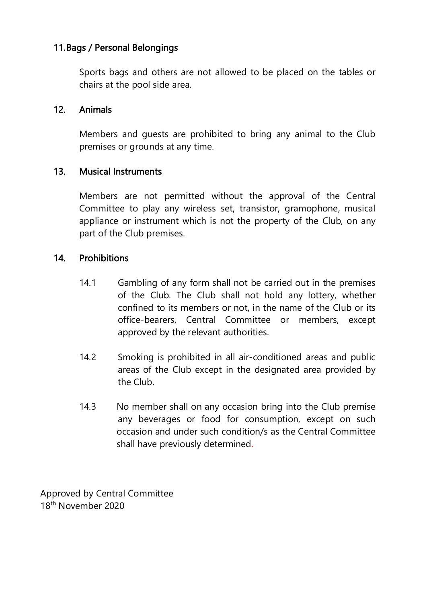### 11. Bags / Personal Belongings

Sports bags and others are not allowed to be placed on the tables or chairs at the pool side area.

#### 12. Animals

Members and guests are prohibited to bring any animal to the Club premises or grounds at any time.

#### 13. Musical Instruments

Members are not permitted without the approval of the Central Committee to play any wireless set, transistor, gramophone, musical appliance or instrument which is not the property of the Club, on any part of the Club premises.

#### 14. Prohibitions

- 14.1 Gambling of any form shall not be carried out in the premises of the Club. The Club shall not hold any lottery, whether confined to its members or not, in the name of the Club or its office-bearers, Central Committee or members, except approved by the relevant authorities.
- 14.2 Smoking is prohibited in all air-conditioned areas and public areas of the Club except in the designated area provided by the Club.
- 14.3 No member shall on any occasion bring into the Club premise any beverages or food for consumption, except on such occasion and under such condition/s as the Central Committee shall have previously determined.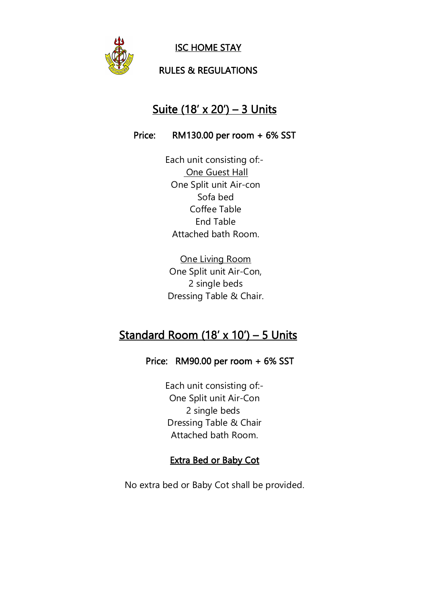

ISC HOME STAY

### RULES & REGULATIONS

# Suite (18' x 20') – 3 Units

#### Price: RM130.00 per room + 6% SST

Each unit consisting of:- One Guest Hall One Split unit Air-con Sofa bed Coffee Table End Table Attached bath Room.

One Living Room One Split unit Air-Con, 2 single beds Dressing Table & Chair.

# Standard Room  $(18' \times 10') - 5$  Units

#### Price: RM90.00 per room + 6% SST

Each unit consisting of:- One Split unit Air-Con 2 single beds Dressing Table & Chair Attached bath Room.

#### Extra Bed or Baby Cot

No extra bed or Baby Cot shall be provided.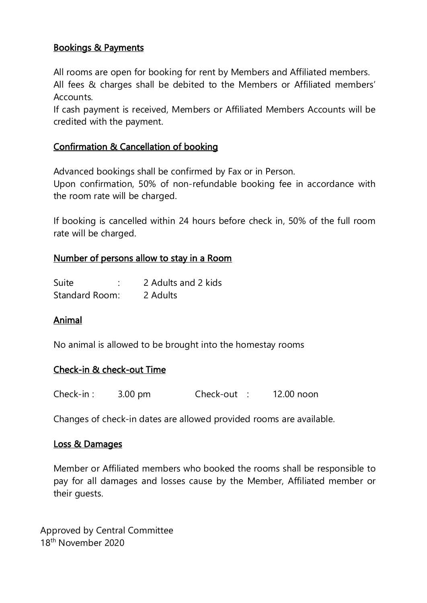## Bookings & Payments

All rooms are open for booking for rent by Members and Affiliated members. All fees & charges shall be debited to the Members or Affiliated members' Accounts.

If cash payment is received, Members or Affiliated Members Accounts will be credited with the payment.

## Confirmation & Cancellation of booking

Advanced bookings shall be confirmed by Fax or in Person.

Upon confirmation, 50% of non-refundable booking fee in accordance with the room rate will be charged.

If booking is cancelled within 24 hours before check in, 50% of the full room rate will be charged.

## Number of persons allow to stay in a Room

| Suite          | 2 Adults and 2 kids |
|----------------|---------------------|
| Standard Room: | 2 Adults            |

## Animal

No animal is allowed to be brought into the homestay rooms

## Check-in & check-out Time

| Check-in: | $3.00$ pm | Check-out : | 12.00 noon |
|-----------|-----------|-------------|------------|
|-----------|-----------|-------------|------------|

Changes of check-in dates are allowed provided rooms are available.

#### Loss & Damages

Member or Affiliated members who booked the rooms shall be responsible to pay for all damages and losses cause by the Member, Affiliated member or their guests.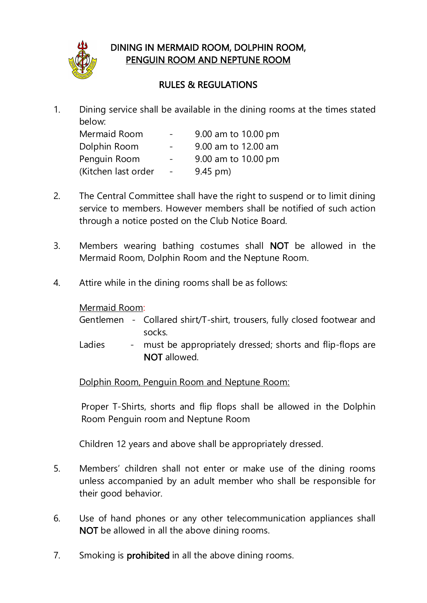

## DINING IN MERMAID ROOM, DOLPHIN ROOM, PENGUIN ROOM AND NEPTUNE ROOM

## RULES & REGULATIONS

1. Dining service shall be available in the dining rooms at the times stated below:

| Mermaid Room        | $\frac{1}{2}$ and $\frac{1}{2}$ | 9.00 am to 10.00 pm |
|---------------------|---------------------------------|---------------------|
| Dolphin Room        | $\sim$ 100 $\mu$                | 9.00 am to 12.00 am |
| Penguin Room        | $\sim$                          | 9.00 am to 10.00 pm |
| (Kitchen last order | $\sim$ $-$                      | $9.45$ pm)          |

- 2. The Central Committee shall have the right to suspend or to limit dining service to members. However members shall be notified of such action through a notice posted on the Club Notice Board.
- 3. Members wearing bathing costumes shall NOT be allowed in the Mermaid Room, Dolphin Room and the Neptune Room.
- 4. Attire while in the dining rooms shall be as follows:

## Mermaid Room:

|  | Gentlemen - Collared shirt/T-shirt, trousers, fully closed footwear and |
|--|-------------------------------------------------------------------------|
|  | socks.                                                                  |

Ladies - must be appropriately dressed; shorts and flip-flops are NOT allowed.

Dolphin Room, Penguin Room and Neptune Room:

Proper T-Shirts, shorts and flip flops shall be allowed in the Dolphin Room Penguin room and Neptune Room

Children 12 years and above shall be appropriately dressed.

- 5. Members' children shall not enter or make use of the dining rooms unless accompanied by an adult member who shall be responsible for their good behavior.
- 6. Use of hand phones or any other telecommunication appliances shall NOT be allowed in all the above dining rooms.
- 7. Smoking is **prohibited** in all the above dining rooms.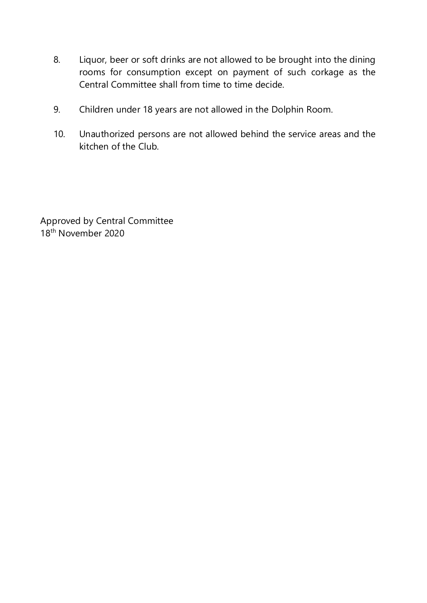- 8. Liquor, beer or soft drinks are not allowed to be brought into the dining rooms for consumption except on payment of such corkage as the Central Committee shall from time to time decide.
- 9. Children under 18 years are not allowed in the Dolphin Room.
- 10. Unauthorized persons are not allowed behind the service areas and the kitchen of the Club.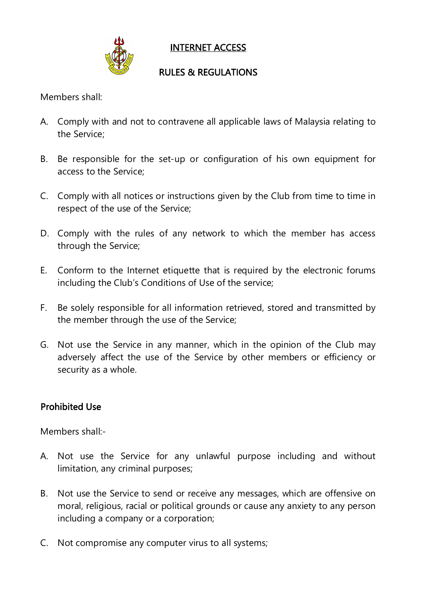

INTERNET ACCESS

## RULES & REGULATIONS

Members shall:

- A. Comply with and not to contravene allapplicable laws of Malaysia relating to the Service;
- B. Be responsible for the set-up or configuration of his own equipment for access to the Service;
- C. Comply with all notices or instructions given by the Club from time to time in respect of the use of the Service;
- D. Comply with the rules of any network to which the member has access through the Service;
- E. Conform to the Internet etiquette that is required by the electronic forums including the Club's Conditions of Use of the service;
- F. Be solely responsible for all information retrieved, stored and transmitted by the member through the use of the Service;
- G. Not use the Service in any manner, which in the opinion of the Club may adversely affect the use of the Service by other members or efficiency or security as a whole.

## Prohibited Use

Members shall:-

- A. Not use the Service for any unlawful purpose including and without limitation, any criminal purposes;
- B. Not use the Service to send or receive any messages, which are offensive on moral, religious, racial or political grounds or cause any anxiety to any person including a company or a corporation;
- C. Not compromise any computer virus to all systems;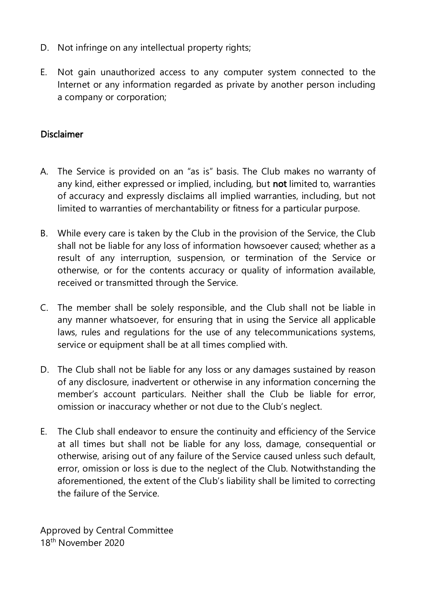- D. Not infringe on any intellectual property rights;
- E. Not gain unauthorized access to any computer system connected to the Internet or any information regarded as private by another person including a company or corporation;

#### Disclaimer

- A. The Service is provided on an "as is" basis. The Club makes no warranty of any kind, either expressed or implied, including, but not limited to, warranties of accuracy and expressly disclaims all implied warranties, including, but not limited to warranties of merchantability or fitness for a particular purpose.
- B. While every care is taken by the Club in the provision of the Service, the Club shall not be liable for any loss of information howsoever caused; whether as a result of any interruption, suspension, or termination of the Service or otherwise, or for the contents accuracy or quality of information available, received or transmitted through the Service.
- C. The member shall be solely responsible, and the Club shall not be liable in any manner whatsoever, for ensuring that in using the Service all applicable laws, rules and regulations for the use of any telecommunications systems, service or equipment shall be at all times complied with.
- D. The Club shall not be liable for any loss or any damages sustained by reason of any disclosure, inadvertent or otherwise in any information concerning the member's account particulars. Neither shall the Club be liable for error, omission or inaccuracy whether or not due to the Club's neglect.
- E. The Club shall endeavor to ensure the continuity and efficiency of the Service at all times but shall not be liable for any loss, damage, consequential or otherwise, arising out of any failure of the Service caused unless such default, error, omission or loss is due to the neglect of the Club. Notwithstanding the aforementioned, the extent of the Club's liability shall be limited to correcting the failure of the Service.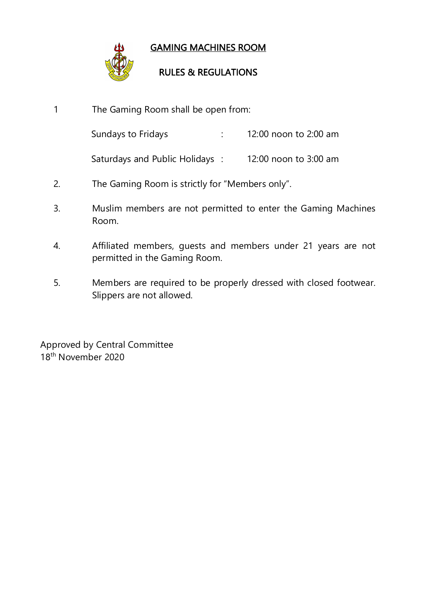

## GAMING MACHINES ROOM

## RULES & REGULATIONS

- 1 The Gaming Room shall be open from: Sundays to Fridays **:** 12:00 noon to 2:00 am Saturdays and Public Holidays : 12:00 noon to 3:00 am 2. The Gaming Room is strictly for "Members only". 3. Muslim members are not permitted to enter the Gaming Machines Room. 4. Affiliated members, guests and members under 21 years are not permitted in the Gaming Room.
- 5. Members are required to be properly dressed with closed footwear. Slippers are not allowed.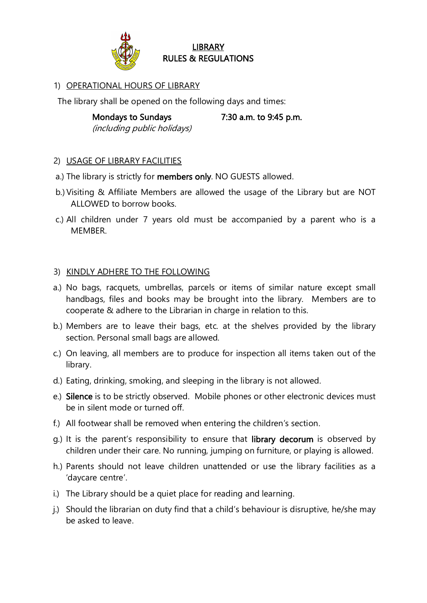

#### **LIBRARY** RULES & REGULATIONS

#### 1) OPERATIONAL HOURS OF LIBRARY

The library shall be opened on the following days and times:

Mondays to Sundays 7:30 a.m. to 9:45 p.m. (including public holidays)

#### 2) USAGE OF LIBRARY FACILITIES

- a.) The library is strictly for members only. NO GUESTS allowed.
- b.)Visiting & Affiliate Members are allowed the usage of the Library but are NOT ALLOWED to borrow books.
- c.) All children under 7 years old must be accompanied by a parent who is a MEMBER.

#### 3) KINDLY ADHERE TO THE FOLLOWING

- a.) No bags, racquets, umbrellas, parcels or items of similar nature except small handbags, files and books may be brought into the library. Members are to cooperate & adhere to the Librarian in charge in relation to this.
- b.) Members are to leave their bags, etc. at the shelves provided by the library section. Personal small bags are allowed.
- c.) On leaving, all members are to produce for inspection all items taken out of the library.
- d.) Eating, drinking, smoking, and sleeping in the library is notallowed.
- e.) Silence is to be strictly observed. Mobile phones or other electronic devices must be in silent mode or turned off.
- f.) All footwear shall be removed when entering the children's section.
- g.) It is the parent's responsibility to ensure that library decorum is observed by children under their care. No running, jumping on furniture, or playing is allowed.h.) Parents should not leave children unattended or use the library facilities as <sup>a</sup>
- 'daycare centre'.
- i.) The Library should be a quiet place for reading and learning.
- j.) Should the librarian on duty find that a child's behaviour is disruptive, he/she may be asked to leave.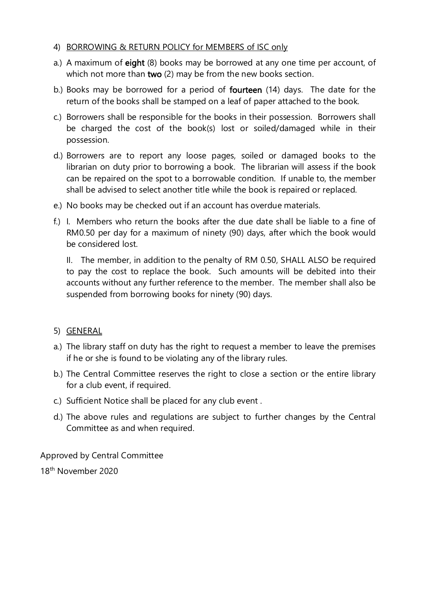#### 4) BORROWING & RETURN POLICY for MEMBERS of ISC only

- a.) A maximum of eight (8) books may be borrowed at any one time per account, of which not more than two (2) may be from the new books section.
- b.) Books may be borrowed for a period of fourteen (14) days. The date for the return of the books shall be stamped on a leaf of paper attached to the book.
- c.) Borrowers shall be responsible for the books in their possession. Borrowers shall be charged the cost of the book(s) lost or soiled/damaged while in their possession.
- d.) Borrowers are to report any loose pages, soiled or damaged books to the librarian on duty prior to borrowing a book. The librarian will assess if the book can be repaired on the spot to a borrowable condition. If unable to, the member shall be advised to select another title while the book is repaired or replaced.
- e.) No books may be checked out if an account has overdue materials.
- f.) I. Members who return the books after the due date shall be liable to a fine of RM0.50 per day for a maximum of ninety (90) days, after which the book would be considered lost.

II. The member, in addition to the penalty of RM 0.50, SHALL ALSO be required to pay the cost to replace the book. Such amounts will be debited into their accounts without any further reference to the member. The member shall also be suspended from borrowing books for ninety (90) days.

#### 5) GENERAL

- a.) The library staff on duty has the right to request a member to leave the premises if he or she is found to be violating any of the library rules.
- b.) The Central Committee reserves the right to close a section or the entire library for a club event, if required.
- c.) Sufficient Notice shall be placed for any club event .
- d.) The above rules and regulations are subject to further changes by the Central Committee as and when required.

Approved by Central Committee

18 th November 2020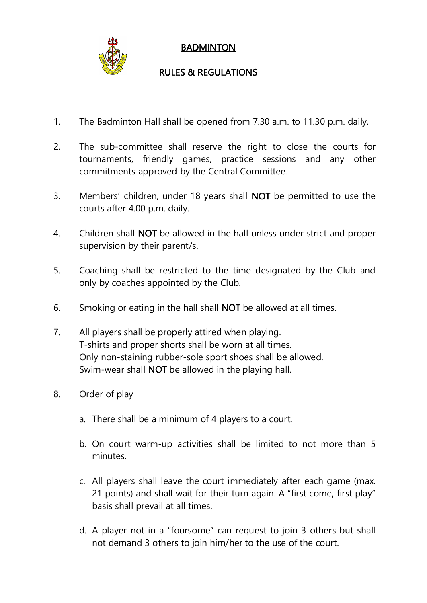

## **BADMINTON**

## RULES & REGULATIONS

- 1. The Badminton Hall shall be opened from 7.30 a.m. to 11.30 p.m. daily.
- 2. The sub-committee shall reserve the right to close the courts for tournaments, friendly games, practice sessions and any other commitments approved by the Central Committee.
- 3. Members' children, under 18 years shall NOT be permitted to use the courts after 4.00 p.m. daily.
- 4. Children shall NOT be allowed in the hall unless under strict and proper supervision by their parent/s.
- 5. Coaching shall be restricted to the time designated by the Club and only by coaches appointed by the Club.
- 6. Smoking or eating in the hall shall NOT be allowed at all times.
- 7. All players shall be properly attired when playing. T-shirts and proper shorts shall be worn at all times. Only non-staining rubber-sole sport shoes shall be allowed. Swim-wear shall NOT be allowed in the playing hall.
- 8. Order of play
	- a. There shall be a minimum of 4 players to a court.
	- b. On court warm-up activities shall be limited to not more than 5 minutes.
	- c. All players shall leave the court immediately after each game (max. 21 points) and shall wait for their turn again. A "first come, first play" basis shall prevail at all times.
	- d. A player not in a "foursome" can request to join 3 others but shall not demand 3 others to join him/her to the use of the court.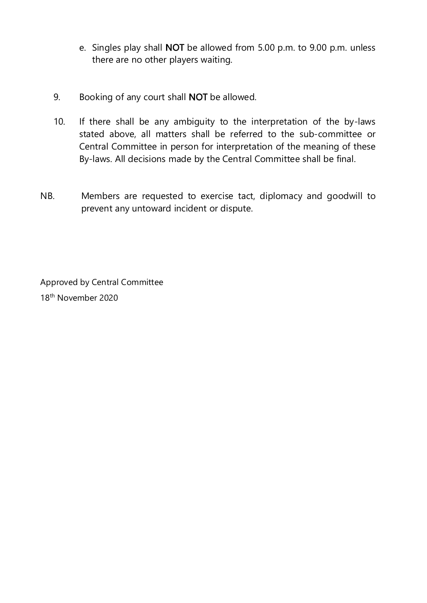- e. Singles play shall NOT be allowed from 5.00 p.m. to 9.00 p.m. unless there are no other players waiting.
- 9. Booking of any court shall NOT be allowed.
- 10. If there shall be any ambiguity to the interpretation of the by-laws stated above, all matters shall be referred to the sub-committee or Central Committee in person for interpretation of the meaning of these By-laws. All decisions made by the Central Committee shall be final.
- NB. Members are requested to exercise tact, diplomacy and goodwill to prevent any untoward incident or dispute.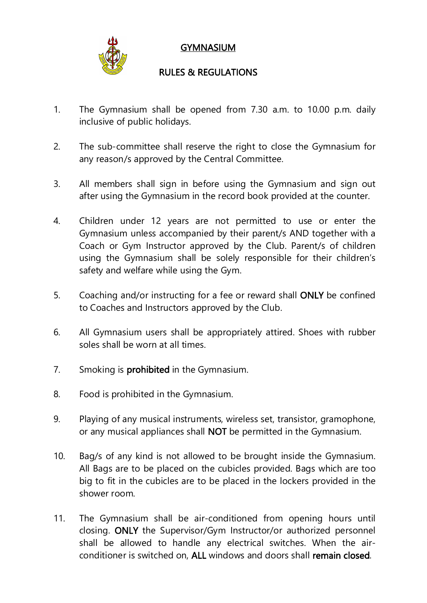

## **GYMNASIUM**

## RULES & REGULATIONS

- 1. The Gymnasium shall be opened from 7.30 a.m. to 10.00 p.m. daily inclusive of public holidays.
- 2. The sub-committee shall reserve the right to close the Gymnasium for any reason/s approved by the Central Committee.
- 3. All members shall sign in before using the Gymnasium and sign out after using the Gymnasium in the record book provided at the counter.
- 4. Children under 12 years are not permitted to use or enter the Gymnasium unless accompanied by their parent/s AND together with a Coach or Gym Instructor approved by the Club. Parent/s of children using the Gymnasium shall be solely responsible for their children's safety and welfare while using the Gym.
- 5. Coaching and/or instructing for a fee or reward shall ONLY be confined to Coaches and Instructors approved by the Club.
- 6. All Gymnasium users shall be appropriately attired. Shoes with rubber soles shall be worn at all times.
- 7. Smoking is **prohibited** in the Gymnasium.
- 8. Food is prohibited in the Gymnasium.
- 9. Playing of any musical instruments, wireless set, transistor, gramophone, or any musical appliances shall NOT be permitted in the Gymnasium.
- 10. Bag/s of any kind is not allowed to be brought inside the Gymnasium.All Bags are to be placed on the cubicles provided. Bags which are too big to fit in the cubicles are to be placed in the lockers provided in the shower room.
- 11. The Gymnasium shall be air-conditioned from opening hours until closing. ONLY the Supervisor/Gym Instructor/or authorized personnel shall be allowed to handle any electrical switches. When the air conditioner is switched on, ALL windows and doors shall remain closed.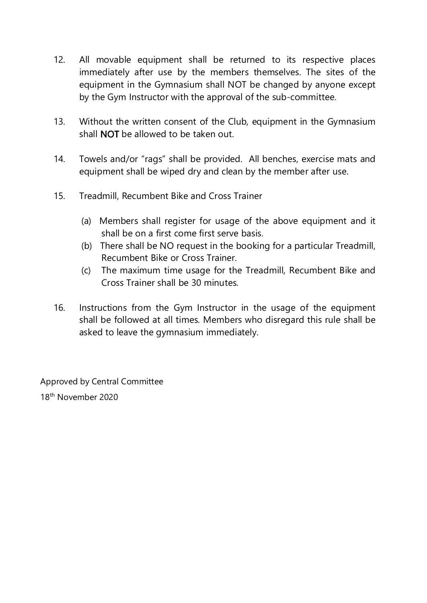- 12. All movable equipment shall be returned to its respective places immediately after use by the members themselves. The sites of the equipment in the Gymnasium shall NOT be changed by anyone except by the Gym Instructor with the approval of the sub-committee.
- 13. Without the written consent of the Club, equipment in the Gymnasium shall NOT be allowed to be taken out.
- 14. Towels and/or "rags" shall be provided. All benches, exercise mats and equipment shall be wiped dry and clean by the member after use.
- 15. Treadmill, Recumbent Bike and Cross Trainer
	- (a) Members shall register for usage of the above equipment and it shall be on a first come first serve basis.
	- (b) There shall be NO request in the booking for a particular Treadmill, Recumbent Bike or Cross Trainer.
	- (c) The maximum time usage for the Treadmill, Recumbent Bike and Cross Trainer shall be 30 minutes.
- 16. Instructions from the Gym Instructor in the usage of the equipment shall be followed at all times. Members who disregard this rule shall be asked to leave the gymnasium immediately.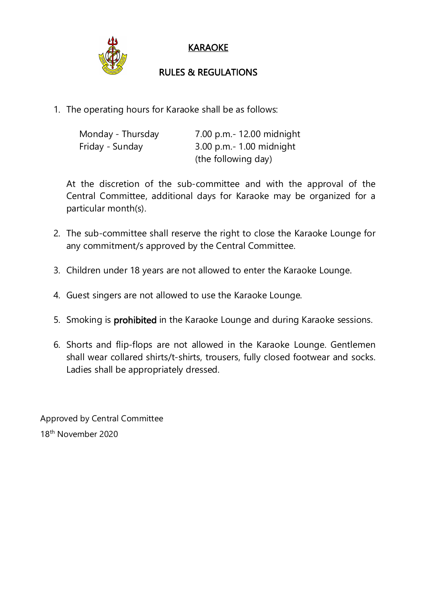

## KARAOKE

## RULES & REGULATIONS

1. The operating hours for Karaoke shall be as follows:

| Monday - Thursday | 7.00 p.m. - 12.00 midnight |
|-------------------|----------------------------|
| Friday - Sunday   | $3.00$ p.m.- 1.00 midnight |
|                   | (the following day)        |

At the discretion of the sub-committee and with the approval of the Central Committee, additional days for Karaoke may be organized for a particular month(s).

- 2. The sub-committee shall reserve the right to close the Karaoke Lounge for any commitment/s approved by the Central Committee.
- 3. Children under 18 years are not allowed to enter the Karaoke Lounge.
- 4. Guest singers are not allowed to use the Karaoke Lounge.
- 5. Smoking is prohibited in the Karaoke Lounge and during Karaoke sessions.
- 6. Shorts and flip-flops are not allowed in the Karaoke Lounge. Gentlemen shall wear collared shirts/t-shirts, trousers, fully closed footwear and socks. Ladies shall be appropriately dressed.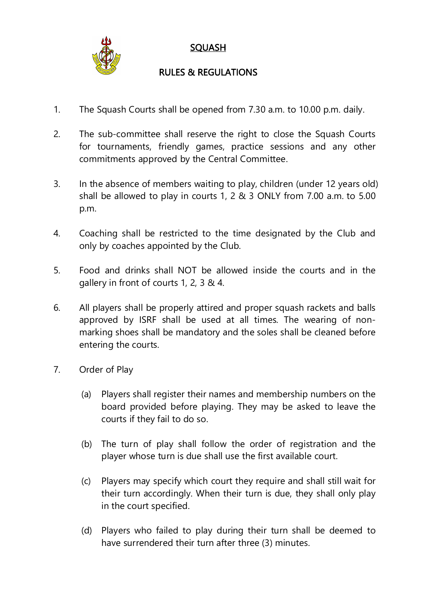

## **SQUASH**

## RULES & REGULATIONS

- 1. The Squash Courts shall be opened from 7.30 a.m. to 10.00 p.m. daily.
- 2. The sub-committee shall reserve the right to close the Squash Courts for tournaments, friendly games, practice sessions and any other commitments approved by the Central Committee.
- 3. In the absence of members waiting to play, children (under 12 years old) shall be allowed to play in courts 1, 2 & 3 ONLY from 7.00 a.m. to 5.00 p.m.
- 4. Coaching shall be restricted to the time designated by the Club and only by coaches appointed by the Club.
- 5. Food and drinks shall NOT be allowed inside the courts and in the gallery in front of courts 1, 2, 3 & 4.
- 6. All players shall be properly attired and proper squash rackets and balls approved by ISRF shall be used at all times. The wearing of non marking shoes shall be mandatory and the soles shall be cleaned before entering the courts.
- 7. Order of Play
	- (a) Players shall register their names and membership numbers on the board provided before playing. They may be asked to leave the courts if they fail to do so.
	- (b) The turn of play shall follow the order of registration and the player whose turn is due shall use the first available court.
	- (c) Players may specify which court they require and shall still wait for their turn accordingly. When their turn is due, they shall only play in the court specified.
	- (d) Players who failed to play during their turn shall be deemed to have surrendered their turn after three (3) minutes.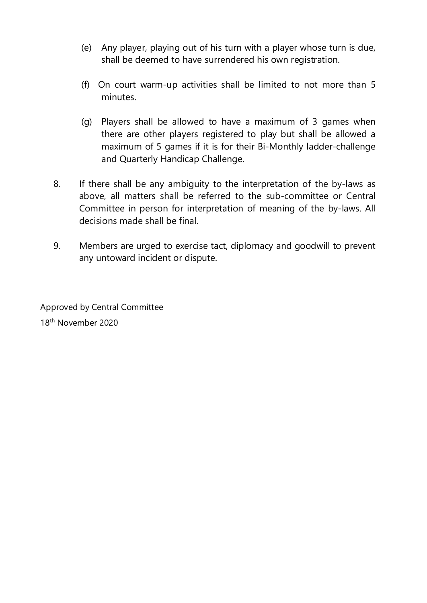- (e) Any player, playing out of his turn with a playerwhose turn is due, shall be deemed to have surrendered his own registration.
- (f) On court warm-up activities shall be limited to not more than 5 minutes.
- (g) Players shall be allowed to have a maximum of 3 games when there are other players registered to play but shall be allowed a maximum of 5 games if it is for their Bi-Monthly ladder-challenge and Quarterly Handicap Challenge.
- 8. If there shall be any ambiguity to the interpretation of the by-laws as above, all matters shall be referred to the sub-committee or Central Committee in person for interpretation of meaning of the by-laws. All decisions made shall be final.
- 9. Members are urged to exercise tact, diplomacy and goodwill to prevent any untoward incident or dispute.

Approved by Central Committee 18<sup>th</sup> November 2020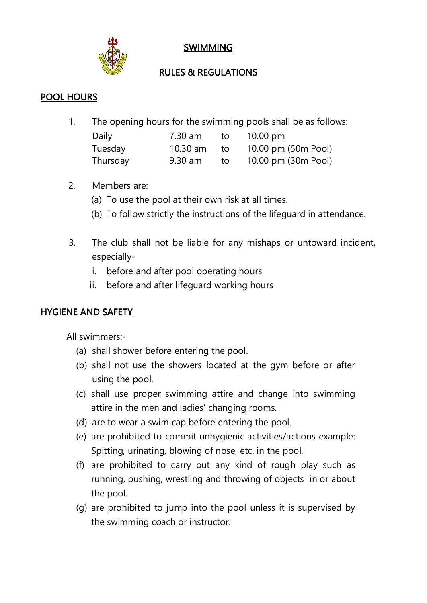

SWIMMING

## RULES & REGULATIONS

## POOL HOURS

1. The opening hours for the swimming pools shall be as follows:

| Daily    | 7.30 am | to   | $10.00 \text{ pm}$              |
|----------|---------|------|---------------------------------|
| Tuesday  |         |      | 10.30 am to 10.00 pm (50m Pool) |
| Thursday | 9.30 am | to i | 10.00 pm (30m Pool)             |

- 2. Members are:
	- (a) To use the pool at their own risk at all times.
	- (b) To follow strictly the instructions of the lifeguard in attendance.
- 3. The club shall not be liable for any mishaps or untoward incident, especially
	- i. before and after pool operating hours
	- ii. before and after lifeguard working hours

## HYGIENE AND SAFETY

All swimmers:-

- (a) shall shower before entering the pool.
- (b) shall not use the showers located at the gym before or after using the pool.
- (c) shall use proper swimming attire and change into swimming attire in the men and ladies' changing rooms.
- (d) are to wear a swim cap before entering the pool.
- (e) are prohibited to commit unhygienic activities/actions example: Spitting, urinating, blowing of nose, etc. in the pool.
- (f) are prohibited to carry outany kind of rough play such as running, pushing, wrestling and throwing of objects in or about the pool.
- (g) are prohibited to jump into the pool unless it is supervised by the swimming coach or instructor.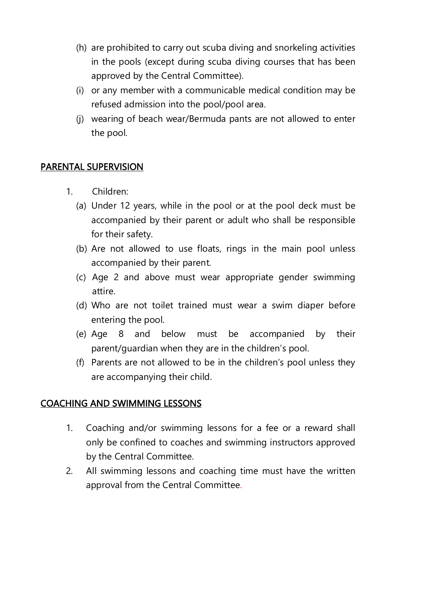- (h) are prohibited to carry out scuba diving and snorkeling activities in the pools (except during scuba diving courses that has been approved by the Central Committee).
- (i) or any member with a communicable medical condition may be refused admission into the pool/pool area.
- (j) wearing of beach wear/Bermuda pants are not allowed to enter the pool.

## PARENTAL SUPERVISION

- 1. Children:
	- (a) Under 12 years, while in the pool or at the pool deck must be accompanied by their parent or adult who shall be responsible for their safety.
	- (b) Are not allowed to use floats, rings in the main pool unless accompanied by their parent.
	- (c) Age 2 and above must wear appropriate gender swimming attire.
	- (d) Who are not toilet trained must wear a swim diaper before entering the pool.
	- (e) Age 8 and below must be accompanied by their parent/guardian when they are in the children's pool.
	- (f) Parents are not allowed to be in the children's pool unless they are accompanying their child.

## COACHING AND SWIMMING LESSONS

- 1. Coaching and/or swimming lessons for a fee or a reward shall only be confined to coaches and swimming instructors approved by the Central Committee.
- 2. All swimming lessons and coaching time must have the written approval from the Central Committee.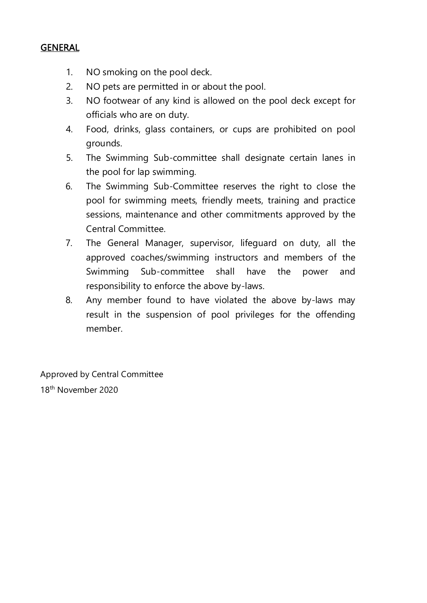#### GENERAL

- 1. NO smoking on the pool deck.
- 2. NO pets are permitted in or about the pool.
- 3. NO footwear of any kind is allowed on the pool deck except for officials who are on duty.
- 4. Food, drinks, glass containers, or cups are prohibited on pool grounds.
- 5. The Swimming Sub-committee shall designate certain lanes in the pool for lap swimming.
- 6. The Swimming Sub-Committee reserves the right to close the pool for swimming meets, friendly meets, training and practice sessions, maintenance and other commitments approved by the Central Committee.
- 7. The General Manager, supervisor, lifeguard on duty, all the approved coaches/swimming instructors and members of the Swimming Sub-committee shall have the power and responsibility to enforce the above by-laws.
- 8. Any member found to have violated the above by-laws may result in the suspension of pool privileges for the offending member.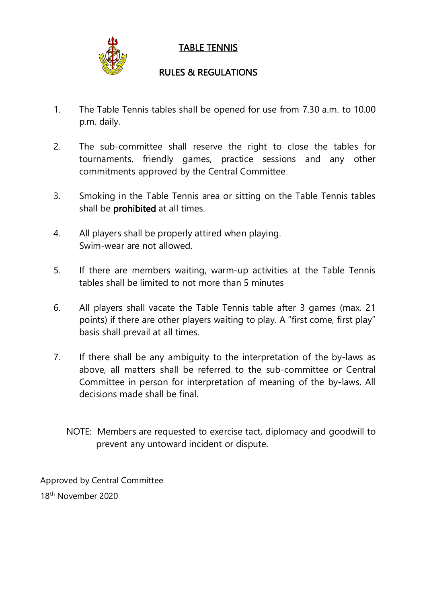

## TABLE TENNIS

## RULES & REGULATIONS

- 1. The Table Tennis tables shall be opened for use from 7.30 a.m. to 10.00 p.m. daily.
- 2. The sub-committee shall reserve the right to close the tables for tournaments, friendly games, practice sessions and any other commitments approved by the Central Committee.
- 3. Smoking in the Table Tennis area or sitting on the Table Tennis tables shall be prohibited at all times.
- 4. All players shall be properly attired when playing. Swim-wear are not allowed.
- 5. If there are members waiting, warm-up activities at the Table Tennis tables shall be limited to not more than 5 minutes
- 6. All players shall vacate the Table Tennis table after 3 games (max.21 points) if there are other players waiting to play. A "first come, first play" basis shall prevail at all times.
- 7. If there shall be any ambiguity to the interpretation of the by-laws as above, all matters shall be referred to the sub-committee or Central Committee in person for interpretation of meaning of the by-laws. All decisions made shall be final.
	- NOTE: Members are requested to exercise tact, diplomacy and goodwill to prevent any untoward incident or dispute.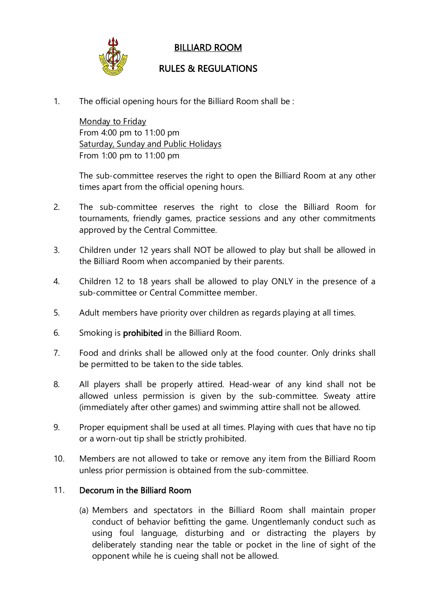

## BILLIARD ROOM

## RULES & REGULATIONS

1. The official opening hours for the Billiard Room shall be :

Monday to Friday From 4:00 pm to 11:00 pm Saturday, Sunday and Public Holidays From 1:00 pm to 11:00 pm

The sub-committee reserves the right to open the Billiard Room at any other times apart from the official opening hours.

- 2. The sub-committee reserves the right to close the Billiard Room for tournaments, friendly games, practice sessions and anyother commitments approved by the Central Committee.
- 3. Children under 12 years shall NOT be allowed to play but shall be allowed in the Billiard Room when accompanied by their parents.
- 4. Children 12 to 18 years shall be allowed to play ONLY in the presence of a sub-committee or Central Committee member.
- 5. Adult members have priority over children as regards playing at all times.
- 6. Smoking is prohibited in the Billiard Room.
- 7. Food and drinks shall be allowed only at the food counter. Only drinks shall be permitted to be taken to the side tables.
- 8. All players shall be properly attired. Head-wear of any kind shall not be allowed unless permission is given by the sub-committee. Sweaty attire (immediately after other games) and swimming attire shall not be allowed.
- 9. Proper equipment shall be used at all times. Playing with cues that have no tip or a worn-out tip shall be strictly prohibited.<br>10. Members are not allowed to take or remove any item from the Billiard Room
- unless prior permission is obtained from the sub-committee.

#### 11. Decorum in the Billiard Room

(a) Members and spectators in the Billiard Room shall maintain proper conduct of behavior befitting the game. Ungentlemanly conduct such as using foul language, disturbing and or distracting the players by deliberately standing near the table or pocket in the line of sight of the opponent while he is cueing shall not be allowed.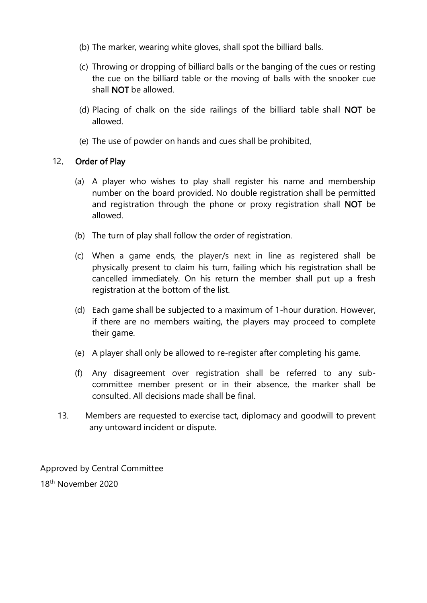- 
- (b) The marker, wearing white gloves, shall spot the billiard balls.<br>(c) Throwing or dropping of billiard balls or the banging of the cues or resting the cue on the billiard table or the moving of balls with the snooker cue shall NOT be allowed.
- (d) Placing of chalk on the side railings of the billiard table shall NOT be allowed.
- (e) The use of powder on hands and cues shall be prohibited.

#### 12. Order of Play

- (a) A player who wishes to play shall register his name and membership number on the board provided. No double registration shall be permitted and registration through the phone or proxy registration shall NOT be allowed.
- (b) The turn of play shall follow the order of registration.
- (c) When a game ends, the player/s next in line as registered shall be physically present to claim his turn, failing which his registration shall be cancelled immediately. On his return the member shall put up a fresh registration at the bottom of the list.
- (d) Each game shall be subjected to a maximum of 1-hour duration. However, if there are no members waiting, the players may proceed to complete their game.
- (e) A player shall only be allowed to re-register after completing his game.
- (f) Any disagreement over registration shall be referred to any sub committee member present or in their absence, the marker shall be consulted. All decisions made shall be final.
- 13. Members are requested to exercise tact, diplomacy and goodwill to prevent any untoward incident or dispute.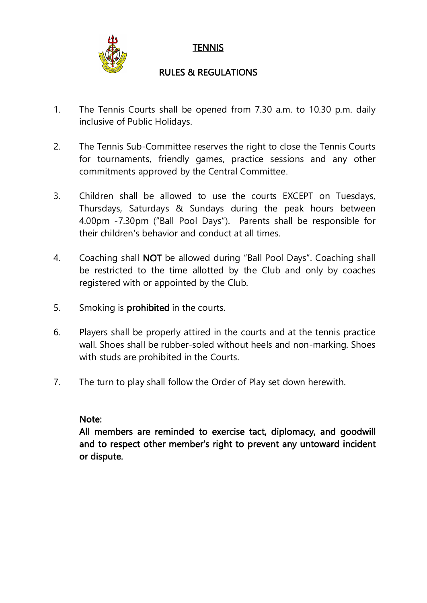

## **TENNIS**

## RULES & REGULATIONS

- 1. The Tennis Courts shall be opened from 7.30 a.m. to 10.30 p.m. daily inclusive of Public Holidays.
- 2. The Tennis Sub-Committee reserves the right to close the Tennis Courts for tournaments, friendly games, practice sessions and any other commitments approved by the Central Committee.
- 3. Children shall be allowed to use the courts EXCEPT on Tuesdays, Thursdays, Saturdays & Sundays during the peak hours between 4.00pm -7.30pm ("Ball Pool Days"). Parents shall be responsible for their children's behavior and conduct at all times.
- 4. Coaching shall NOT be allowed during "Ball Pool Days". Coaching shall be restricted to the time allotted by the Club and only by coaches registered with or appointed by the Club.
- 5. Smoking is prohibited in the courts.
- 6. Players shall be properly attired in the courts and at the tennis practice wall. Shoes shall be rubber-soled without heels and non-marking. Shoes with studs are prohibited in the Courts.
- 7. The turn to play shall follow the Order of Play set down herewith.

#### Note:

All members are reminded to exercise tact, diplomacy, and goodwill and to respect other member's right to prevent any untoward incident or dispute.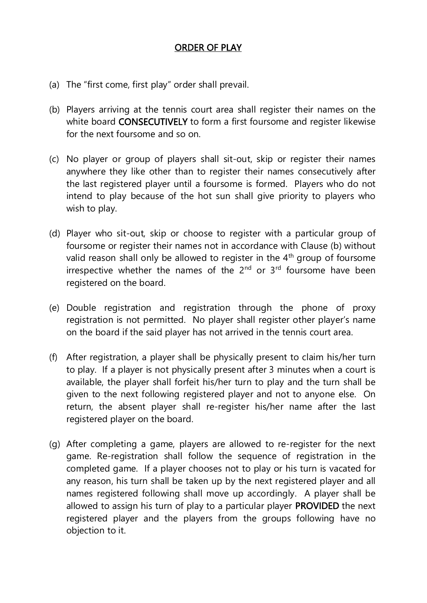### ORDER OF PLAY

- (a) The "first come, first play" order shall prevail.
- (b) Players arriving at the tennis court area shall register their names on the white board **CONSECUTIVELY** to form a first foursome and register likewise for the next foursome and so on.
- (c) No player or group of players shall sit-out, skip or register their names anywhere they like other than to register their names consecutively after the last registered player until a foursome is formed. Players who do not intend to play because of the hot sun shall give priority to players who wish to play.
- (d) Player who sit-out, skip or choose to register with a particular group of foursome or register their names not in accordance with Clause (b) without valid reason shall only be allowed to register in the 4<sup>th</sup> group of foursome irrespective whether the names of the 2<sup>nd</sup> or 3<sup>rd</sup> foursome have been registered on the board.
- (e) Double registration and registration through the phone of proxy registration is not permitted. No player shall register other player's name on the board if the said player has not arrived in the tennis court area.
- (f) After registration, a player shall be physically present to claim his/her turn to play. If a player is not physically present after 3 minutes when a court is available, the player shall forfeit his/her turn to play and the turn shall be given to the next following registered player and not to anyone else. On return, the absent player shall re-register his/her name after the last registered player on the board.
- (g) After completing a game, players are allowed to re-register for the next game. Re-registration shall follow the sequence of registration in the completed game. If a player chooses not to play or his turn is vacated for any reason, his turn shall be taken up by the next registered player and all names registered following shall move up accordingly. A player shall be allowed to assign his turn of play to a particular player PROVIDED the next registered player and the players from the groups following have no objection to it.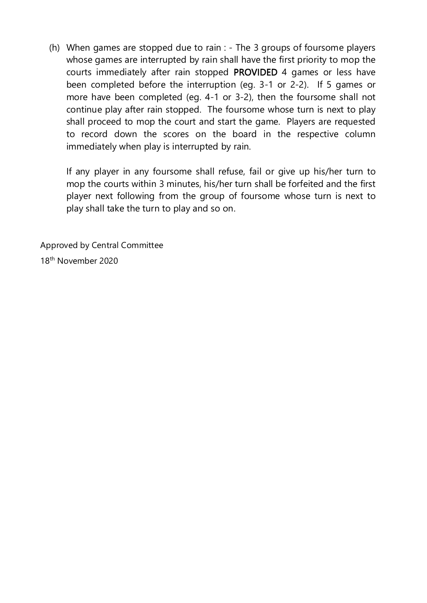(h) When games are stopped due to rain : - The 3 groups of foursome players whose games are interrupted by rain shall have the first priority to mop the courts immediately after rain stopped PROVIDED 4 games or less have been completed before the interruption (eg. 3-1 or 2-2). If 5 games or more have been completed (eg. 4-1 or 3-2), then the foursome shall not continue play after rain stopped. The foursome whose turn is next to play shall proceed to mop the court and start the game. Players are requested to record down the scores on the board in the respective column immediately when play is interrupted by rain.

If any player in any foursome shall refuse, fail or give up his/her turn to mop the courts within 3 minutes, his/her turn shall be forfeited and the first player next following from the group of foursome whose turn is next to play shall take the turn to play and so on.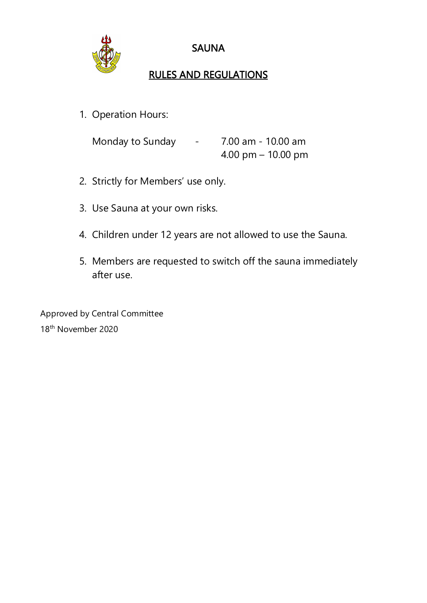

## SAUNA

# RULES AND REGULATIONS

1. Operation Hours:

| Monday to Sunday | <b>Contract Contract</b> | 7.00 am - 10.00 am |
|------------------|--------------------------|--------------------|
|                  |                          | 4.00 pm – 10.00 pm |

- 2. Strictly for Members' use only.
- 3. Use Sauna at your own risks.
- 4. Children under 12 years are not allowed to use the Sauna.
- 5. Members are requested to switch off the sauna immediately after use.